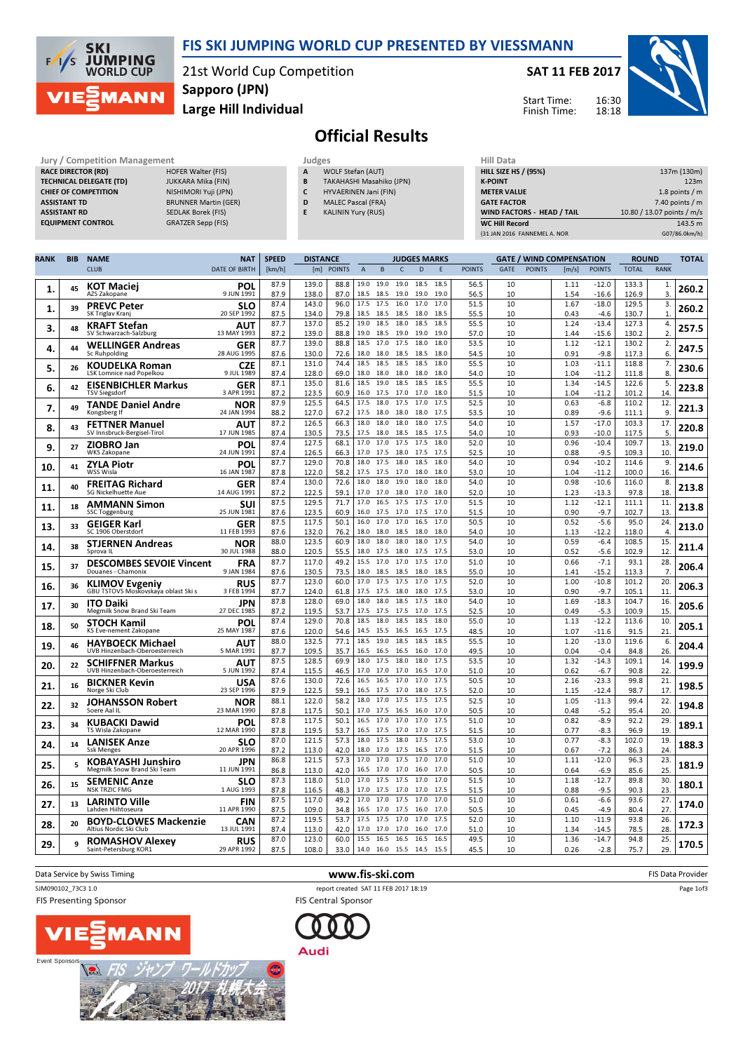

21st World Cup Competition Large Hill Individual Sapporo (JPN)

## SAT 11 FEB 2017

Start Time: Finish Time:



## Official Results



**SKI** 

 $\sqrt{ }$ ⁄< **JUMPING**<br>WORLD CUP

MANN

| ı Management |                            |
|--------------|----------------------------|
|              | <b>HOFER Walter (FIS)</b>  |
| (TD          | <b>JUKKARA Mika (FIN)</b>  |
| V            | NISHIMORI Yuji (JPN)       |
|              | <b>BRUNNER Martin (GER</b> |
|              | <b>SEDLAK Borek (FIS)</b>  |
|              | <b>GRATZER Sepp (FIS)</b>  |
|              |                            |

- WOLF Stefan (AUT) B TAKAHASHI Masahiko (JPN)
- C HYVAERINEN Jani (FIN)
- D MALEC Pascal (FRA)
- E KALININ Yury (RUS)

| Hill Data                         |                            |
|-----------------------------------|----------------------------|
| <b>HILL SIZE HS / (95%)</b>       | 137m (130m)                |
| <b>K-POINT</b>                    | 123m                       |
| <b>METER VALUE</b>                | 1.8 points $/m$            |
| <b>GATE FACTOR</b>                | 7.40 points $/m$           |
| <b>WIND FACTORS - HEAD / TAIL</b> | 10.80 / 13.07 points / m/s |
| <b>WC Hill Record</b>             | 143.5 m                    |
| (31 JAN 2016 FANNEMEL A. NOR      | G07/86.0km/h)              |

| RANK | <b>BIB</b> | <b>NAME</b>                                                  | <b>NAT</b>                | <b>SPEED</b> | <b>DISTANCE</b> |               |                |                   |              | <b>JUDGES MARKS</b> |              |               |          |               | <b>GATE / WIND COMPENSATION</b> |                    | <b>ROUND</b>   |                | <b>TOTAL</b> |
|------|------------|--------------------------------------------------------------|---------------------------|--------------|-----------------|---------------|----------------|-------------------|--------------|---------------------|--------------|---------------|----------|---------------|---------------------------------|--------------------|----------------|----------------|--------------|
|      |            | <b>CLUB</b>                                                  | <b>DATE OF BIRTH</b>      | [km/h]       | [m]             | <b>POINTS</b> | $\overline{A}$ | B                 | $\mathsf{C}$ | $\mathsf{D}$        | E            | <b>POINTS</b> | GATF     | <b>POINTS</b> | [m/s]                           | <b>POINTS</b>      | <b>TOTAL</b>   | <b>RANK</b>    |              |
| 1.   | 45         | <b>KOT Maciei</b><br>AZS Zakopane                            | POL<br>9 JUN 1991         | 87.9<br>87.9 | 139.0<br>138.0  | 88.8<br>87.0  | 19.0           | 19.0<br>18.5 18.5 | 19.0<br>19.0 | 18.5<br>19.0        | 18.5<br>19.0 | 56.5<br>56.5  | 10<br>10 |               | 1.11<br>1.54                    | $-12.0$<br>$-16.6$ | 133.3<br>126.9 | 1.<br>3        | 260.2        |
| 1.   | 39         | <b>PREVC Peter</b><br>SK Triglav Kranj                       | <b>SLO</b><br>20 SEP 1992 | 87.4<br>87.5 | 143.0<br>134.0  | 96.0<br>79.8  | 17.5<br>18.5   | 17.5<br>18.5      | 16.0<br>18.5 | 17.0<br>18.0        | 17.0<br>18.5 | 51.5<br>55.5  | 10<br>10 |               | 1.67<br>0.43                    | $-18.0$<br>$-4.6$  | 129.5<br>130.7 | 3.<br>1.       | 260.2        |
| 3.   | 48         | <b>KRAFT Stefan</b>                                          | AUT                       | 87.7         | 137.0           | 85.2          | 19.0           | 18.5              | 18.0         | 18.5                | 18.5         | 55.5          | 10       |               | 1.24                            | $-13.4$            | 127.3          | 4.             | 257.5        |
|      |            | SV Schwarzach-Salzburg<br><b>WELLINGER Andreas</b>           | 13 MAY 1993<br>GER        | 87.2<br>87.7 | 139.0<br>139.0  | 88.8<br>88.8  | 19.0<br>18.5   | 18.5<br>17.0 17.5 | 19.0         | 19.0<br>18.0        | 19.0<br>18.0 | 57.0<br>53.5  | 10<br>10 |               | 1.44<br>1.12                    | -15.6<br>$-12.1$   | 130.2<br>130.2 | 2.<br>2.       |              |
| 4.   | 44         | Sc Ruhpolding                                                | 28 AUG 1995               | 87.6         | 130.0           | 72.6          | 18.0           | 18.0              | 18.5         | 18.5                | 18.0         | 54.5          | 10       |               | 0.91                            | $-9.8$             | 117.3          | 6.             | 247.5        |
| 5.   | 26         | <b>KOUDELKA Roman</b><br>LSK Lomnice nad Popelkou            | CZE<br>9 JUL 1989         | 87.1<br>87.4 | 131.0<br>128.0  | 74.4<br>69.0  | 18.5<br>18.0   | 18.5<br>18.0      | 18.5<br>18.0 | 18.5<br>18.0        | 18.0<br>18.0 | 55.5<br>54.0  | 10<br>10 |               | 1.03<br>1.04                    | $-11.1$<br>-11.2   | 118.8<br>111.8 | 7.<br>8.       | 230.6        |
| 6.   | 42         | <b>EISENBICHLER Markus</b><br><b>TSV Siegsdorf</b>           | GER<br>3 APR 1991         | 87.1<br>87.2 | 135.0<br>123.5  | 81.6<br>60.9  | 18.5           | 19.0<br>16.0 17.5 | 18.5<br>17.0 | 18.5<br>17.0        | 18.5<br>18.0 | 55.5<br>51.5  | 10<br>10 |               | 1.34<br>1.04                    | $-14.5$<br>$-11.2$ | 122.6<br>101.2 | 5.<br>14       | 223.8        |
| 7.   | 49         | <b>TANDE Daniel Andre</b>                                    | <b>NOR</b>                | 87.9         | 125.5           | 64.5          | 17.5           | 18.0              | 17.5         | 17.0                | 17.5         | 52.5          | 10       |               | 0.63                            | $-6.8$             | 110.2          | 12.            | 221.3        |
|      |            | Kongsberg If<br><b>FETTNER Manuel</b>                        | 24 JAN 1994<br>AUT        | 88.2<br>87.2 | 127.0<br>126.5  | 67.2<br>66.3  | 17.5<br>18.0   | 18.0<br>18.0      | 18.0<br>18.0 | 18.0<br>18.0        | 17.5<br>17.5 | 53.5<br>54.0  | 10<br>10 |               | 0.89<br>1.57                    | $-9.6$<br>$-17.0$  | 111.1<br>103.3 | 9<br>17.       |              |
| 8.   | 43         | SV Innsbruck-Bergisel-Tirol                                  | 17 JUN 1985               | 87.4         | 130.5           | 73.5          | 17.5           | 18.0              | 18.5         | 18.5                | 17.5         | 54.0          | 10       |               | 0.93                            | $-10.0$            | 117.5          | 5.             | 220.8        |
| 9.   | 27         | <b>ZIOBRO Jan</b><br>WKS Zakopane                            | <b>POL</b><br>24 JUN 1991 | 87.4<br>87.4 | 127.5<br>126.5  | 68.1<br>66.3  | 17.0<br>17.0   | 17.0<br>17.5      | 17.5<br>18.0 | 17.5<br>17.5        | 18.0<br>17.5 | 52.0<br>52.5  | 10<br>10 |               | 0.96<br>0.88                    | $-10.4$<br>$-9.5$  | 109.7<br>109.3 | 13.<br>10      | 219.0        |
| 10.  | 41         | <b>ZYLA Piotr</b><br>WSS Wisla                               | POL<br>16 JAN 1987        | 87.7<br>87.8 | 129.0<br>122.0  | 70.8<br>58.2  | 18.0           | 17.5<br>17.5 17.5 | 18.0<br>17.0 | 18.5<br>18.0        | 18.0<br>18.0 | 54.0<br>53.0  | 10<br>10 |               | 0.94<br>1.04                    | $-10.2$<br>$-11.2$ | 114.6<br>100.0 | 9.<br>16       | 214.6        |
| 11,  | 40         | <b>FREITAG Richard</b>                                       | GER                       | 87.4         | 130.0           | 72.6          | 18.0           | 18.0              | 19.0         | 18.0                | 18.0         | 54.0          | 10       |               | 0.98                            | $-10.6$            | 116.0          | 8.             | 213.8        |
|      |            | <b>SG Nickelhuette Aue</b><br><b>AMMANN Simon</b>            | 14 AUG 1991<br>SUI        | 87.2<br>87.5 | 122.5<br>129.5  | 59.1<br>71.7  | 17.0<br>17.0   | 17.0<br>16.5 17.5 | 18.0         | 17.0<br>17.5        | 18.0<br>17.0 | 52.0<br>51.5  | 10<br>10 |               | 1.23<br>1.12                    | $-13.3$<br>$-12.1$ | 97.8<br>111.1  | 18.<br>11.     |              |
| 11.  | 18         | <b>SSC Toggenburg</b>                                        | 25 JUN 1981               | 87.6         | 123.5           | 60.9          | 16.0           | 17.5              | 17.0         | 17.5                | 17.0         | 51.5          | 10       |               | 0.90                            | $-9.7$             | 102.7          | 13             | 213.8        |
| 13.  | 33         | <b>GEIGER Karl</b><br>SC 1906 Oberstdorf                     | <b>GER</b><br>11 FEB 1993 | 87.5<br>87.6 | 117.5<br>132.0  | 50.1<br>76.2  | 16.0<br>18.0   | 17.0<br>18.0      | 17.0<br>18.5 | 16.5<br>18.0        | 17.0<br>18.0 | 50.5<br>54.0  | 10<br>10 |               | 0.52<br>1.13                    | $-5.6$<br>$-12.2$  | 95.0<br>118.0  | 24.<br>4       | 213.0        |
| 14.  | 38         | <b>STJERNEN Andreas</b>                                      | NOR                       | 88.0         | 123.5           | 60.9          | 18.0           | 18.0              | 18.0         | 18.0                | 17.5         | 54.0          | 10       |               | 0.59                            | $-6.4$             | 108.5          | 15             | 211.4        |
|      |            | Sprova IL                                                    | 30 JUL 1988               | 88.0<br>87.7 | 120.5<br>117.0  | 55.5<br>49.2  | 18.0<br>15.5   | 17.5<br>17.0      | 18.0<br>17.0 | 17.5<br>17.5        | 17.5<br>17.0 | 53.0<br>51.0  | 10<br>10 |               | 0.52<br>0.66                    | $-5.6$<br>$-7.1$   | 102.9<br>93.1  | 12<br>28       |              |
| 15.  | 37         | <b>DESCOMBES SEVOIE Vincent</b><br>Douanes - Chamonix        | <b>FRA</b><br>9 JAN 1984  | 87.6         | 130.5           | 73.5          |                | 18.0 18.5         | 18.5         | 18.0                | 18.5         | 55.0          | 10       |               | 1.41                            | $-15.2$            | 113.3          | $\overline{7}$ | 206.4        |
| 16.  | 36         | <b>KLIMOV Evgeniy</b><br>GBU TSTOVS Moskovskaya oblast Ski s | <b>RUS</b><br>3 FEB 1994  | 87.7<br>87.7 | 123.0<br>124.0  | 60.0<br>61.8  | 17.0<br>17.5   | 17.5<br>17.5      | 17.5<br>18.0 | 17.0<br>18.0        | 17.5<br>17.5 | 52.0<br>53.0  | 10<br>10 |               | 1.00<br>0.90                    | $-10.8$<br>$-9.7$  | 101.2<br>105.1 | 20.<br>11      | 206.3        |
| 17.  | 30         | <b>ITO Daiki</b>                                             | JPN                       | 87.8         | 128.0           | 69.0          | 18.0           | 18.0              | 18.5         | 17.5                | 18.0         | 54.0          | 10       |               | 1.69                            | $-18.3$            | 104.7          | 16.            | 205.6        |
|      |            | Megmilk Snow Brand Ski Team                                  | 27 DEC 1985               | 87.2<br>87.4 | 119.5<br>129.0  | 53.7<br>70.8  | 17.5<br>18.5   | 17.5<br>18.0      | 17.5<br>18.5 | 17.0<br>18.5        | 17.5<br>18.0 | 52.5<br>55.0  | 10<br>10 |               | 0.49<br>1.13                    | $-5.3$<br>$-12.2$  | 100.9<br>113.6 | 15<br>10       |              |
| 18.  | 50         | <b>STOCH Kamil</b><br>KS Eve-nement Zakopane                 | <b>POL</b><br>25 MAY 1987 | 87.6         | 120.0           | 54.6          | 14.5           | 15.5              | 16.5         | 16.5                | 17.5         | 48.5          | 10       |               | 1.07                            | $-11.6$            | 91.5           | 21             | 205.1        |
| 19.  | 46         | <b>HAYBOECK Michael</b><br>UVB Hinzenbach-Oberoesterreich    | AUT<br>5 MAR 1991         | 88.0<br>87.7 | 132.5<br>109.5  | 77.1<br>35.7  | 18.5<br>16.5   | 19.0<br>16.5      | 18.5<br>16.5 | 18.5<br>16.0        | 18.5<br>17.0 | 55.5<br>49.5  | 10<br>10 |               | 1.20<br>0.04                    | $-13.0$<br>$-0.4$  | 119.6<br>84.8  | 6.<br>26       | 204.4        |
| 20.  | 22         | <b>SCHIFFNER Markus</b><br>UVB Hinzenbach-Oberoesterreich    | ΑUΤ<br>5 JUN 1992         | 87.5<br>87.4 | 128.5<br>115.5  | 69.9<br>46.5  | 18.0<br>17.0   | 17.5<br>17.0      | 18.0<br>17.0 | 18.0<br>16.5        | 17.5<br>17.0 | 53.5<br>51.0  | 10<br>10 |               | 1.32<br>0.62                    | $-14.3$            | 109.1<br>90.8  | 14<br>22       | 199.9        |
|      | 16         | <b>BICKNER Kevin</b>                                         | USA                       | 87.6         | 130.0           | 72.6          | 16.5           | 16.5              | 17.0         | 17.0                | 17.5         | 50.5          | 10       |               | 2.16                            | $-6.7$<br>$-23.3$  | 99.8           | 21.            | 198.5        |
| 21.  |            | Norge Ski Club                                               | 23 SEP 1996               | 87.9         | 122.5           | 59.1          | 16.5           | 17.5              | 17.0         | 18.0<br>17.5        | 17.5<br>17.5 | 52.0          | 10       |               | 1.15                            | $-12.4$            | 98.7           | 17             |              |
| 22.  | 32         | <b>JOHANSSON Robert</b><br>Soere Aal IL                      | NOR<br>23 MAR 1990        | 88.1<br>87.8 | 122.0<br>117.5  | 58.2<br>50.1  | 18.0<br>17.0   | 17.0<br>17.5      | 17.5<br>16.5 | 16.0                | 17.0         | 52.5<br>50.5  | 10<br>10 |               | 1.05<br>0.48                    | $-11.3$<br>$-5.2$  | 99.4<br>95.4   | 22.<br>20      | 194.8        |
| 23.  | 34         | <b>KUBACKI Dawid</b><br>TS Wisla Zakopane                    | POL<br>12 MAR 1990        | 87.8<br>87.8 | 117.5<br>119.5  | 50.1<br>53.7  | 16.5           | 17.0<br>16.5 17.5 | 17.0<br>17.0 | 17.0<br>17.0        | 17.5<br>17.5 | 51.0<br>51.5  | 10<br>10 |               | 0.82<br>0.77                    | $-8.9$<br>$-8.3$   | 92.2<br>96.9   | 29<br>19       | 189.1        |
| 24.  | 14         | <b>LANISEK Anze</b><br><b>Ssk Menges</b>                     | SLO<br>20 APR 1996        | 87.0<br>87.2 | 121.5<br>113.0  | 57.3<br>42.0  | 18.0           | 17.5<br>18.0 17.0 | 18.0<br>17.5 | 17.5<br>16.5        | 17.5<br>17.0 | 53.0<br>51.5  | 10<br>10 |               | 0.77<br>0.67                    | $-8.3$<br>$-7.2$   | 102.0          | 19<br>24       | 188.3        |
|      | 5          | <b>KOBAYASHI Junshiro</b>                                    | JPN                       | 86.8         | 121.5           | 57.3          | 17.0           | 17.0              | 17.5         | 17.0                | 17.0         | 51.0          | 10       |               | 1.11                            | $-12.0$            | 86.3<br>96.3   | 23.            |              |
| 25.  |            | Megmilk Snow Brand Ski Team                                  | 11 JUN 1991               | 86.8<br>87.3 | 113.0<br>118.0  | 42.0<br>51.0  | 16.5<br>17.0   | 17.0<br>17.5      | 17.0<br>17.5 | 16.0<br>17.0        | 17.0<br>17.0 | 50.5<br>51.5  | 10<br>10 |               | 0.64<br>1.18                    | $-6.9$<br>$-12.7$  | 85.6           | 25<br>30       | 181.9        |
| 26.  | 15         | <b>SEMENIC Anze</b><br><b>NSK TRZIC FMG</b>                  | SLO<br>1 AUG 1993         | 87.8         | 116.5           | 48.3          | 17.0           | 17.5              | 17.0         | 17.0                | 17.5         | 51.5          | 10       |               | 0.88                            | $-9.5$             | 89.8<br>90.3   | 23             | 180.1        |
| 27.  | 13         | <b>LARINTO Ville</b><br>Lahden Hiihtoseura                   | FIN<br>11 APR 1990        | 87.5<br>87.5 | 117.0<br>109.0  | 49.2<br>34.8  | 17.0<br>16.5   | 17.0<br>17.0      | 17.5<br>17.5 | 17.0<br>16.0        | 17.0<br>17.0 | 51.0<br>50.5  | 10<br>10 |               | 0.61<br>0.45                    | $-6.6$<br>$-4.9$   | 93.6<br>80.4   | 27.<br>27      | 174.0        |
| 28.  | 20         | <b>BOYD-CLOWES Mackenzie</b>                                 | CAN                       | 87.2         | 119.5           | 53.7          |                | 17.5 17.5         | 17.0         | 17.0                | 17.5         | 52.0          | 10       |               | 1.10                            | $-11.9$            | 93.8           | 26.            | 172.3        |
|      |            | Altius Nordic Ski Club<br><b>ROMASHOV Alexey</b>             | 13 JUL 1991<br>RUS        | 87.4<br>87.0 | 113.0<br>123.0  | 42.0<br>60.0  | 17.0<br>15.5   | 17.0<br>16.5 16.5 | 17.0         | 16.0<br>16.5        | 17.0<br>16.5 | 51.0<br>49.5  | 10<br>10 |               | 1.34<br>1.36                    | -14.5<br>-14.7     | 78.5<br>94.8   | 28<br>25.      |              |
| 29.  | 9          | Saint-Petersburg KOR1                                        | 29 APR 1992               | 87.5         | 108.0           | 33.0          | 14.0           | 16.0              | 15.5         | 14.5                | 15.5         | 45.5          | 10       |               | 0.26                            | $-2.8$             | 75.7           | 29.            | 170.5        |

Event Sponso

**FIS Presenting Sponsor** 

 $\sum$ 

AN



SJM090102\_73C3 1.0 report created SAT 11 FEB 2017 18:19 **FIS Central Sponsor** 





Page 1of3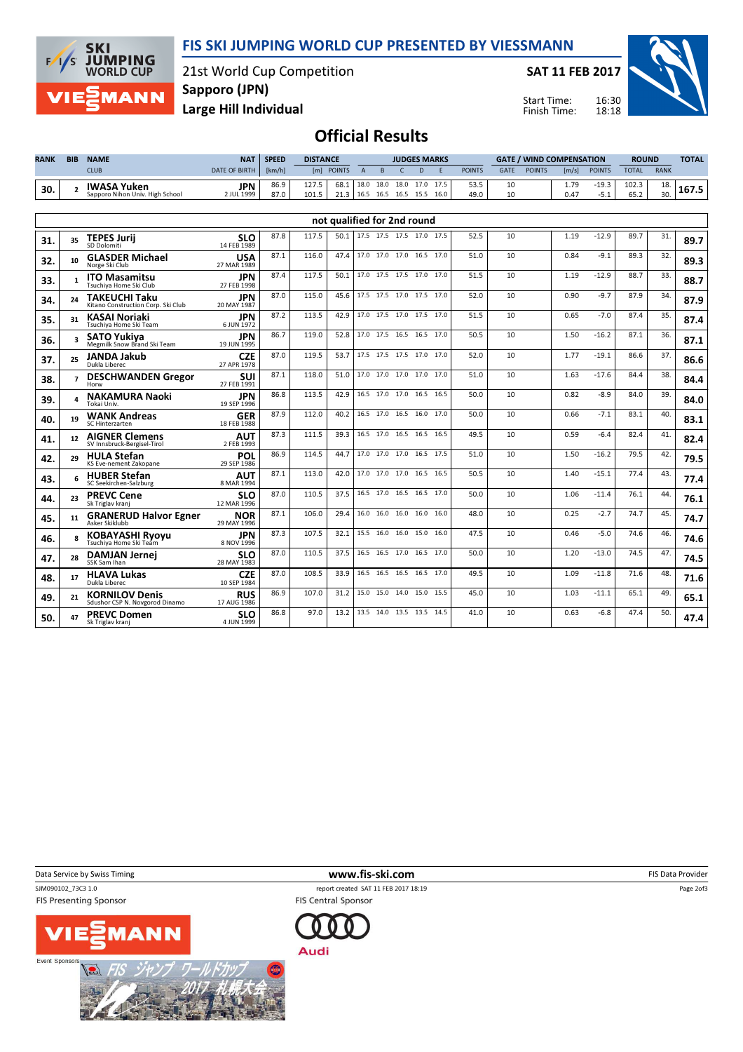

21st World Cup Competition Sapporo (JPN)

SAT 11 FEB 2017

Start Time: Finish Time:



Large Hill Individual

**SKI** 

 $\sqrt{ }$  $\overline{s}$  **JUMPING**<br>WORLD CUP

**MANN** 

Official Results

| <b>RANK</b> | <b>BIB</b> | <b>NAME</b>                     | <b>NAT</b>           | <b>SPEED</b> | <b>DISTANCE</b> | <b>JUDGES MARKS</b> |      |      |                |  |      | <b>GATE / WIND COMPENSATION</b> |             |               |       | <b>ROUND</b>  |              | <b>TOTAL</b> |         |
|-------------|------------|---------------------------------|----------------------|--------------|-----------------|---------------------|------|------|----------------|--|------|---------------------------------|-------------|---------------|-------|---------------|--------------|--------------|---------|
|             |            | <b>CLUB</b>                     | <b>DATE OF BIRTH</b> | [km/h]       | [m]             | <b>POINTS</b>       |      |      |                |  |      | <b>POINTS</b>                   | <b>GATE</b> | <b>POINTS</b> | [m/s] | <b>POINTS</b> | <b>TOTAL</b> | <b>RANK</b>  |         |
| 30.         |            | <b>IWASA Yuken</b>              | <b>JPN</b>           | 86.9         | 127.5           | 68.1                | 18.0 |      | 18.0 18.0 17.0 |  | 17.5 | 53.5                            | 10          |               | 1.79  | $-19.3$       | 102.3        | 10           |         |
|             |            | Sapporo Nihon Univ. High School | 2 JUL 1999           | 87.0         | 101.5           |                     | 16.5 | 16.5 | 16.5 15.5      |  | 16.0 | 49.0                            |             |               | 0.47  | ـ د-          | 65.2         | 30.          | - 101.3 |

|     |                   |                                                            |                           |      |       |      | not qualified for 2nd round |                          |      |      |      |    |      |         |      |     |      |
|-----|-------------------|------------------------------------------------------------|---------------------------|------|-------|------|-----------------------------|--------------------------|------|------|------|----|------|---------|------|-----|------|
| 31. | 35                | <b>TEPES Jurij</b><br>SD Dolomiti                          | <b>SLO</b><br>14 FEB 1989 | 87.8 | 117.5 | 50.1 | 17.5 17.5 17.5 17.0         |                          |      | 17.5 | 52.5 | 10 | 1.19 | $-12.9$ | 89.7 | 31. | 89.7 |
| 32. | 10                | <b>GLASDER Michael</b><br>Norge Ski Club                   | <b>USA</b><br>27 MAR 1989 | 87.1 | 116.0 | 47.4 |                             | 17.0 17.0 17.0 16.5 17.0 |      |      | 51.0 | 10 | 0.84 | $-9.1$  | 89.3 | 32. | 89.3 |
| 33. | $\mathbf{1}$      | <b>ITO Masamitsu</b><br>Tsuchiva Home Ski Club             | <b>JPN</b><br>27 FEB 1998 | 87.4 | 117.5 | 50.1 |                             | 17.0 17.5 17.5           | 17.0 | 17.0 | 51.5 | 10 | 1.19 | $-12.9$ | 88.7 | 33. | 88.7 |
| 34. | 24                | <b>TAKEUCHI Taku</b><br>Kitano Construction Corp. Ski Club | <b>JPN</b><br>20 MAY 1987 | 87.0 | 115.0 | 45.6 |                             | 17.5 17.5 17.0 17.5 17.0 |      |      | 52.0 | 10 | 0.90 | $-9.7$  | 87.9 | 34. | 87.9 |
| 35. | 31                | <b>KASAI Noriaki</b><br>Tsuchiva Home Ski Team             | <b>JPN</b><br>6 JUN 1972  | 87.2 | 113.5 | 42.9 |                             | 17.0 17.5 17.0 17.5 17.0 |      |      | 51.5 | 10 | 0.65 | $-7.0$  | 87.4 | 35. | 87.4 |
| 36. |                   | <b>SATO Yukiva</b><br>Megmilk Snow Brand Ski Team          | <b>JPN</b><br>19 JUN 1995 | 86.7 | 119.0 | 52.8 |                             | 17.0 17.5 16.5 16.5 17.0 |      |      | 50.5 | 10 | 1.50 | $-16.2$ | 87.1 | 36. | 87.1 |
| 37. | 25                | <b>JANDA Jakub</b><br>Dukla Liberec                        | <b>CZE</b><br>27 APR 1978 | 87.0 | 119.5 | 53.7 |                             | 17.5 17.5 17.5 17.0      |      | 17.0 | 52.0 | 10 | 1.77 | $-19.1$ | 86.6 | 37. | 86.6 |
| 38. | $\overline{7}$    | <b>DESCHWANDEN Gregor</b><br>Horw                          | <b>SUI</b><br>27 FEB 1991 | 87.1 | 118.0 | 51.0 |                             | 17.0 17.0 17.0 17.0 17.0 |      |      | 51.0 | 10 | 1.63 | $-17.6$ | 84.4 | 38. | 84.4 |
| 39. |                   | <b>NAKAMURA Naoki</b><br>Tokai Univ.                       | <b>JPN</b><br>19 SEP 1996 | 86.8 | 113.5 | 42.9 |                             | 16.5 17.0 17.0 16.5 16.5 |      |      | 50.0 | 10 | 0.82 | $-8.9$  | 84.0 | 39. | 84.0 |
| 40. | 19                | <b>WANK Andreas</b><br><b>SC Hinterzarten</b>              | <b>GER</b><br>18 FEB 1988 | 87.9 | 112.0 | 40.2 |                             | 16.5 17.0 16.5           | 16.0 | 17.0 | 50.0 | 10 | 0.66 | $-7.1$  | 83.1 | 40. | 83.1 |
| 41. | $12 \overline{ }$ | <b>AIGNER Clemens</b><br>SV Innsbruck-Bergisel-Tirol       | <b>AUT</b><br>2 FEB 1993  | 87.3 | 111.5 | 39.3 |                             | 16.5 17.0 16.5 16.5      |      | 16.5 | 49.5 | 10 | 0.59 | $-6.4$  | 82.4 | 41. | 82.4 |
| 42. | 29                | <b>HULA Stefan</b><br><b>KS Eve-nement Zakopane</b>        | POL<br>29 SEP 1986        | 86.9 | 114.5 | 44.7 |                             | 17.0 17.0 17.0 16.5      |      | 17.5 | 51.0 | 10 | 1.50 | $-16.2$ | 79.5 | 42. | 79.5 |
| 43. |                   | <b>HUBER Stefan</b><br>SC Seekirchen-Salzburg              | <b>AUT</b><br>8 MAR 1994  | 87.1 | 113.0 | 42.0 |                             | 17.0 17.0 17.0 16.5      |      | 16.5 | 50.5 | 10 | 1.40 | $-15.1$ | 77.4 | 43. | 77.4 |
| 44. | 23                | <b>PREVC Cene</b><br>Sk Triglav kranj                      | <b>SLO</b><br>12 MAR 1996 | 87.0 | 110.5 | 37.5 |                             | 16.5 17.0 16.5 16.5 17.0 |      |      | 50.0 | 10 | 1.06 | $-11.4$ | 76.1 | 44. | 76.1 |
| 45. | 11                | <b>GRANERUD Halvor Egner</b><br>Asker Skiklubb             | <b>NOR</b><br>29 MAY 1996 | 87.1 | 106.0 | 29.4 | 16.0                        | 16.0 16.0                | 16.0 | 16.0 | 48.0 | 10 | 0.25 | $-2.7$  | 74.7 | 45. | 74.7 |
| 46. |                   | <b>KOBAYASHI Ryoyu</b><br>Tsuchiva Home Ski Team           | <b>JPN</b><br>8 NOV 1996  | 87.3 | 107.5 | 32.1 |                             | 15.5 16.0 16.0 15.0      |      | 16.0 | 47.5 | 10 | 0.46 | $-5.0$  | 74.6 | 46. | 74.6 |
| 47. | 28                | <b>DAMJAN Jernej</b><br>SSK Sam Ihan                       | <b>SLO</b><br>28 MAY 1983 | 87.0 | 110.5 | 37.5 |                             | 16.5 16.5 17.0 16.5 17.0 |      |      | 50.0 | 10 | 1.20 | $-13.0$ | 74.5 | 47. | 74.5 |
| 48. | 17                | <b>HLAVA Lukas</b><br>Dukla Liberec                        | <b>CZE</b><br>10 SFP 1984 | 87.0 | 108.5 | 33.9 |                             | 16.5 16.5 16.5 16.5      |      | 17.0 | 49.5 | 10 | 1.09 | $-11.8$ | 71.6 | 48. | 71.6 |
| 49. | 21                | <b>KORNILOV Denis</b><br>Sdushor CSP N. Novgorod Dinamo    | <b>RUS</b><br>17 AUG 1986 | 86.9 | 107.0 | 31.2 | 15.0                        | 15.0 14.0 15.0           |      | 15.5 | 45.0 | 10 | 1.03 | $-11.1$ | 65.1 | 49. | 65.1 |
| 50. | 47                | <b>PREVC Domen</b><br>Sk Triglav kranj                     | <b>SLO</b><br>4 JUN 1999  | 86.8 | 97.0  | 13.2 | 13.5                        | 14.0 13.5 13.5           |      | 14.5 | 41.0 | 10 | 0.63 | $-6.8$  | 47.4 | 50. | 47.4 |

Data Service by Swiss Timing **EXECUTE:** The Same of the WWW.fis-ski.com **EXECUTE:** FIS Data Provider

**FIS Presenting Sponsor** 





SJM090102\_73C3 1.0 report created SAT 11 FEB 2017 18:19 **FIS Central Sponsor** 



Audi

Page 2of3